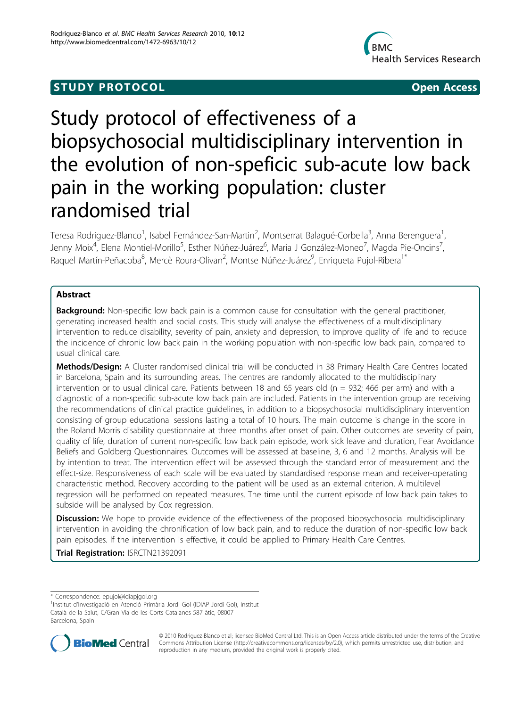# **STUDY PROTOCOL CONSUMING ACCESS**



# Study protocol of effectiveness of a biopsychosocial multidisciplinary intervention in the evolution of non-speficic sub-acute low back pain in the working population: cluster randomised trial

Teresa Rodriguez-Blanco<sup>1</sup>, Isabel Fernández-San-Martin<sup>2</sup>, Montserrat Balagué-Corbella<sup>3</sup>, Anna Berenguera<sup>1</sup> , Jenny Moix<sup>4</sup>, Elena Montiel-Morillo<sup>5</sup>, Esther Núñez-Juárez<sup>6</sup>, Maria J González-Moneo<sup>7</sup>, Magda Pie-Oncins<sup>7</sup> , Raquel Martín-Peñacoba<sup>8</sup>, Mercè Roura-Olivan<sup>2</sup>, Montse Núñez-Juárez<sup>9</sup>, Enriqueta Pujol-Ribera<sup>1\*</sup>

# Abstract

**Background:** Non-specific low back pain is a common cause for consultation with the general practitioner, generating increased health and social costs. This study will analyse the effectiveness of a multidisciplinary intervention to reduce disability, severity of pain, anxiety and depression, to improve quality of life and to reduce the incidence of chronic low back pain in the working population with non-specific low back pain, compared to usual clinical care.

Methods/Design: A Cluster randomised clinical trial will be conducted in 38 Primary Health Care Centres located in Barcelona, Spain and its surrounding areas. The centres are randomly allocated to the multidisciplinary intervention or to usual clinical care. Patients between 18 and 65 years old ( $n = 932$ ; 466 per arm) and with a diagnostic of a non-specific sub-acute low back pain are included. Patients in the intervention group are receiving the recommendations of clinical practice guidelines, in addition to a biopsychosocial multidisciplinary intervention consisting of group educational sessions lasting a total of 10 hours. The main outcome is change in the score in the Roland Morris disability questionnaire at three months after onset of pain. Other outcomes are severity of pain, quality of life, duration of current non-specific low back pain episode, work sick leave and duration, Fear Avoidance Beliefs and Goldberg Questionnaires. Outcomes will be assessed at baseline, 3, 6 and 12 months. Analysis will be by intention to treat. The intervention effect will be assessed through the standard error of measurement and the effect-size. Responsiveness of each scale will be evaluated by standardised response mean and receiver-operating characteristic method. Recovery according to the patient will be used as an external criterion. A multilevel regression will be performed on repeated measures. The time until the current episode of low back pain takes to subside will be analysed by Cox regression.

**Discussion:** We hope to provide evidence of the effectiveness of the proposed biopsychosocial multidisciplinary intervention in avoiding the chronification of low back pain, and to reduce the duration of non-specific low back pain episodes. If the intervention is effective, it could be applied to Primary Health Care Centres.

Trial Registration: ISRCTN21392091

\* Correspondence: epujol@idiapjgol.org

<sup>1</sup> Institut d'Investigació en Atenció Primària Jordi Gol (IDIAP Jordi Gol), Institut Català de la Salut, C/Gran Via de les Corts Catalanes 587 àtic, 08007 Barcelona, Spain



© 2010 Rodriguez-Blanco et al; licensee BioMed Central Ltd. This is an Open Access article distributed under the terms of the Creative Bio Med Central Commons Attribution License (http://creativecommons.org/licenses/by/2.0), which permits unrestricted use, distribution, and reproduction in any medium, provided the original work is properly cited.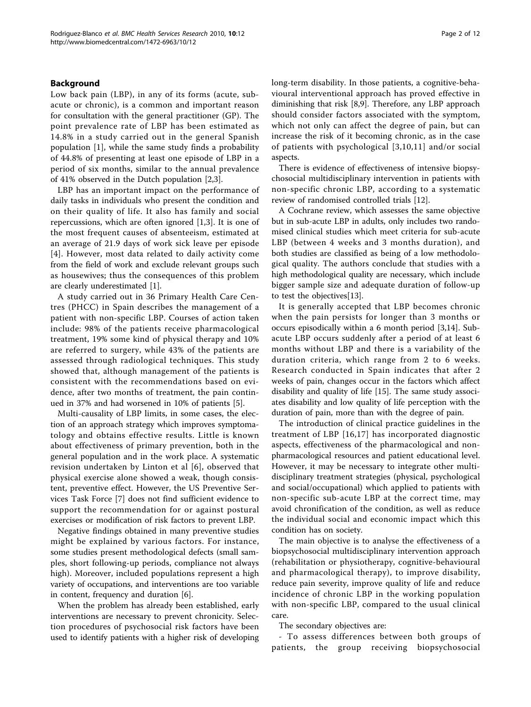#### Background

Low back pain (LBP), in any of its forms (acute, subacute or chronic), is a common and important reason for consultation with the general practitioner (GP). The point prevalence rate of LBP has been estimated as 14.8% in a study carried out in the general Spanish population [\[1](#page-10-0)], while the same study finds a probability of 44.8% of presenting at least one episode of LBP in a period of six months, similar to the annual prevalence of 41% observed in the Dutch population [[2,3\]](#page-10-0).

LBP has an important impact on the performance of daily tasks in individuals who present the condition and on their quality of life. It also has family and social repercussions, which are often ignored [[1,3\]](#page-10-0). It is one of the most frequent causes of absenteeism, estimated at an average of 21.9 days of work sick leave per episode [[4](#page-10-0)]. However, most data related to daily activity come from the field of work and exclude relevant groups such as housewives; thus the consequences of this problem are clearly underestimated [\[1](#page-10-0)].

A study carried out in 36 Primary Health Care Centres (PHCC) in Spain describes the management of a patient with non-specific LBP. Courses of action taken include: 98% of the patients receive pharmacological treatment, 19% some kind of physical therapy and 10% are referred to surgery, while 43% of the patients are assessed through radiological techniques. This study showed that, although management of the patients is consistent with the recommendations based on evidence, after two months of treatment, the pain continued in 37% and had worsened in 10% of patients [[5](#page-10-0)].

Multi-causality of LBP limits, in some cases, the election of an approach strategy which improves symptomatology and obtains effective results. Little is known about effectiveness of primary prevention, both in the general population and in the work place. A systematic revision undertaken by Linton et al [[6\]](#page-10-0), observed that physical exercise alone showed a weak, though consistent, preventive effect. However, the US Preventive Services Task Force [\[7](#page-10-0)] does not find sufficient evidence to support the recommendation for or against postural exercises or modification of risk factors to prevent LBP.

Negative findings obtained in many preventive studies might be explained by various factors. For instance, some studies present methodological defects (small samples, short following-up periods, compliance not always high). Moreover, included populations represent a high variety of occupations, and interventions are too variable in content, frequency and duration [[6](#page-10-0)].

When the problem has already been established, early interventions are necessary to prevent chronicity. Selection procedures of psychosocial risk factors have been used to identify patients with a higher risk of developing long-term disability. In those patients, a cognitive-behavioural interventional approach has proved effective in diminishing that risk [[8,9\]](#page-10-0). Therefore, any LBP approach should consider factors associated with the symptom, which not only can affect the degree of pain, but can increase the risk of it becoming chronic, as in the case of patients with psychological [\[3,10](#page-10-0),[11](#page-10-0)] and/or social aspects.

There is evidence of effectiveness of intensive biopsychosocial multidisciplinary intervention in patients with non-specific chronic LBP, according to a systematic review of randomised controlled trials [\[12](#page-10-0)].

A Cochrane review, which assesses the same objective but in sub-acute LBP in adults, only includes two randomised clinical studies which meet criteria for sub-acute LBP (between 4 weeks and 3 months duration), and both studies are classified as being of a low methodological quality. The authors conclude that studies with a high methodological quality are necessary, which include bigger sample size and adequate duration of follow-up to test the objectives[[13\]](#page-10-0).

It is generally accepted that LBP becomes chronic when the pain persists for longer than 3 months or occurs episodically within a 6 month period [[3,14\]](#page-10-0). Subacute LBP occurs suddenly after a period of at least 6 months without LBP and there is a variability of the duration criteria, which range from 2 to 6 weeks. Research conducted in Spain indicates that after 2 weeks of pain, changes occur in the factors which affect disability and quality of life [[15\]](#page-10-0). The same study associates disability and low quality of life perception with the duration of pain, more than with the degree of pain.

The introduction of clinical practice guidelines in the treatment of LBP [[16,17\]](#page-10-0) has incorporated diagnostic aspects, effectiveness of the pharmacological and nonpharmacological resources and patient educational level. However, it may be necessary to integrate other multidisciplinary treatment strategies (physical, psychological and social/occupational) which applied to patients with non-specific sub-acute LBP at the correct time, may avoid chronification of the condition, as well as reduce the individual social and economic impact which this condition has on society.

The main objective is to analyse the effectiveness of a biopsychosocial multidisciplinary intervention approach (rehabilitation or physiotherapy, cognitive-behavioural and pharmacological therapy), to improve disability, reduce pain severity, improve quality of life and reduce incidence of chronic LBP in the working population with non-specific LBP, compared to the usual clinical care.

The secondary objectives are:

- To assess differences between both groups of patients, the group receiving biopsychosocial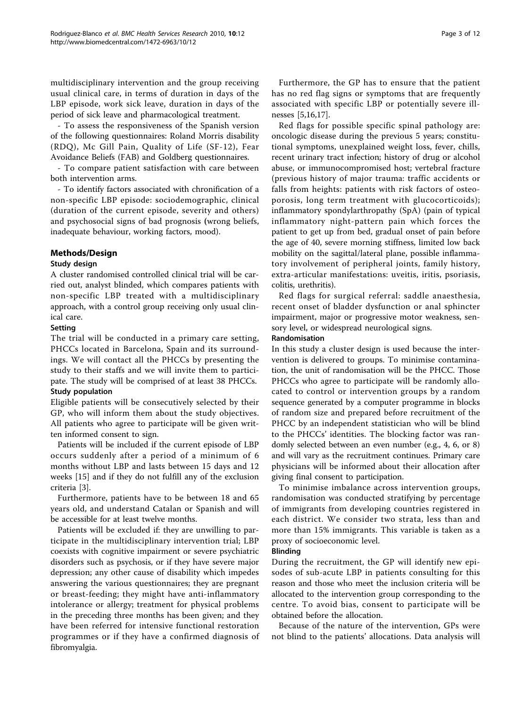multidisciplinary intervention and the group receiving usual clinical care, in terms of duration in days of the LBP episode, work sick leave, duration in days of the period of sick leave and pharmacological treatment.

- To assess the responsiveness of the Spanish version of the following questionnaires: Roland Morris disability (RDQ), Mc Gill Pain, Quality of Life (SF-12), Fear Avoidance Beliefs (FAB) and Goldberg questionnaires.

- To compare patient satisfaction with care between both intervention arms.

- To identify factors associated with chronification of a non-specific LBP episode: sociodemographic, clinical (duration of the current episode, severity and others) and psychosocial signs of bad prognosis (wrong beliefs, inadequate behaviour, working factors, mood).

# Methods/Design

# Study design

A cluster randomised controlled clinical trial will be carried out, analyst blinded, which compares patients with non-specific LBP treated with a multidisciplinary approach, with a control group receiving only usual clinical care.

# **Setting**

The trial will be conducted in a primary care setting, PHCCs located in Barcelona, Spain and its surroundings. We will contact all the PHCCs by presenting the study to their staffs and we will invite them to participate. The study will be comprised of at least 38 PHCCs. Study population

Eligible patients will be consecutively selected by their GP, who will inform them about the study objectives. All patients who agree to participate will be given written informed consent to sign.

Patients will be included if the current episode of LBP occurs suddenly after a period of a minimum of 6 months without LBP and lasts between 15 days and 12 weeks [[15](#page-10-0)] and if they do not fulfill any of the exclusion criteria [[3\]](#page-10-0).

Furthermore, patients have to be between 18 and 65 years old, and understand Catalan or Spanish and will be accessible for at least twelve months.

Patients will be excluded if: they are unwilling to participate in the multidisciplinary intervention trial; LBP coexists with cognitive impairment or severe psychiatric disorders such as psychosis, or if they have severe major depression; any other cause of disability which impedes answering the various questionnaires; they are pregnant or breast-feeding; they might have anti-inflammatory intolerance or allergy; treatment for physical problems in the preceding three months has been given; and they have been referred for intensive functional restoration programmes or if they have a confirmed diagnosis of fibromyalgia.

Furthermore, the GP has to ensure that the patient has no red flag signs or symptoms that are frequently associated with specific LBP or potentially severe illnesses [[5](#page-10-0),[16,17](#page-10-0)].

Red flags for possible specific spinal pathology are: oncologic disease during the previous 5 years; constitutional symptoms, unexplained weight loss, fever, chills, recent urinary tract infection; history of drug or alcohol abuse, or immunocompromised host; vertebral fracture (previous history of major trauma: traffic accidents or falls from heights: patients with risk factors of osteoporosis, long term treatment with glucocorticoids); inflammatory spondylarthropathy (SpA) (pain of typical inflammatory night-pattern pain which forces the patient to get up from bed, gradual onset of pain before the age of 40, severe morning stiffness, limited low back mobility on the sagittal/lateral plane, possible inflammatory involvement of peripheral joints, family history, extra-articular manifestations: uveitis, iritis, psoriasis, colitis, urethritis).

Red flags for surgical referral: saddle anaesthesia, recent onset of bladder dysfunction or anal sphincter impairment, major or progressive motor weakness, sensory level, or widespread neurological signs.

# Randomisation

In this study a cluster design is used because the intervention is delivered to groups. To minimise contamination, the unit of randomisation will be the PHCC. Those PHCCs who agree to participate will be randomly allocated to control or intervention groups by a random sequence generated by a computer programme in blocks of random size and prepared before recruitment of the PHCC by an independent statistician who will be blind to the PHCCs' identities. The blocking factor was randomly selected between an even number (e.g., 4, 6, or 8) and will vary as the recruitment continues. Primary care physicians will be informed about their allocation after giving final consent to participation.

To minimise imbalance across intervention groups, randomisation was conducted stratifying by percentage of immigrants from developing countries registered in each district. We consider two strata, less than and more than 15% immigrants. This variable is taken as a proxy of socioeconomic level.

#### Blinding

During the recruitment, the GP will identify new episodes of sub-acute LBP in patients consulting for this reason and those who meet the inclusion criteria will be allocated to the intervention group corresponding to the centre. To avoid bias, consent to participate will be obtained before the allocation.

Because of the nature of the intervention, GPs were not blind to the patients' allocations. Data analysis will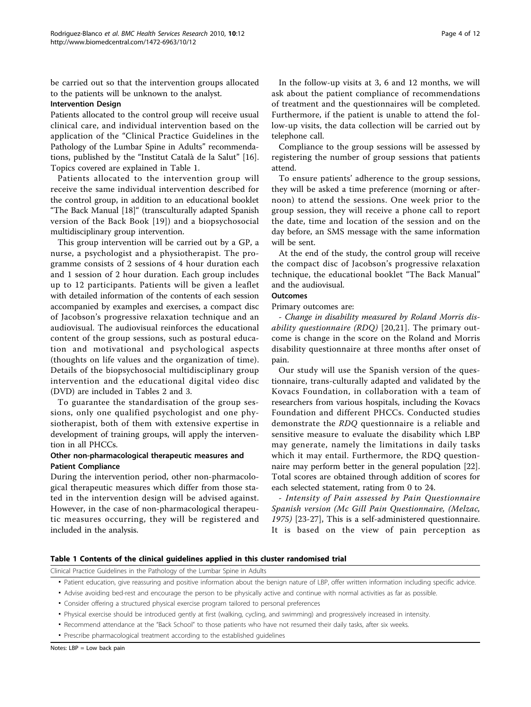be carried out so that the intervention groups allocated to the patients will be unknown to the analyst.

# Intervention Design

Patients allocated to the control group will receive usual clinical care, and individual intervention based on the application of the "Clinical Practice Guidelines in the Pathology of the Lumbar Spine in Adults" recommendations, published by the "Institut Català de la Salut" [\[16](#page-10-0)]. Topics covered are explained in Table 1.

Patients allocated to the intervention group will receive the same individual intervention described for the control group, in addition to an educational booklet "The Back Manual [[18](#page-10-0)]" (transculturally adapted Spanish version of the Back Book [\[19\]](#page-10-0)) and a biopsychosocial multidisciplinary group intervention.

This group intervention will be carried out by a GP, a nurse, a psychologist and a physiotherapist. The programme consists of 2 sessions of 4 hour duration each and 1 session of 2 hour duration. Each group includes up to 12 participants. Patients will be given a leaflet with detailed information of the contents of each session accompanied by examples and exercises, a compact disc of Jacobson's progressive relaxation technique and an audiovisual. The audiovisual reinforces the educational content of the group sessions, such as postural education and motivational and psychological aspects (thoughts on life values and the organization of time). Details of the biopsychosocial multidisciplinary group intervention and the educational digital video disc (DVD) are included in Tables [2](#page-4-0) and [3](#page-4-0).

To guarantee the standardisation of the group sessions, only one qualified psychologist and one physiotherapist, both of them with extensive expertise in development of training groups, will apply the intervention in all PHCCs.

# Other non-pharmacological therapeutic measures and Patient Compliance

During the intervention period, other non-pharmacological therapeutic measures which differ from those stated in the intervention design will be advised against. However, in the case of non-pharmacological therapeutic measures occurring, they will be registered and included in the analysis.

In the follow-up visits at 3, 6 and 12 months, we will ask about the patient compliance of recommendations of treatment and the questionnaires will be completed. Furthermore, if the patient is unable to attend the follow-up visits, the data collection will be carried out by telephone call.

Compliance to the group sessions will be assessed by registering the number of group sessions that patients attend.

To ensure patients' adherence to the group sessions, they will be asked a time preference (morning or afternoon) to attend the sessions. One week prior to the group session, they will receive a phone call to report the date, time and location of the session and on the day before, an SMS message with the same information will be sent.

At the end of the study, the control group will receive the compact disc of Jacobson's progressive relaxation technique, the educational booklet "The Back Manual" and the audiovisual.

# **Outcomes**

Primary outcomes are:

- Change in disability measured by Roland Morris disability questionnaire (RDQ) [[20](#page-10-0),[21\]](#page-10-0). The primary outcome is change in the score on the Roland and Morris disability questionnaire at three months after onset of pain.

Our study will use the Spanish version of the questionnaire, trans-culturally adapted and validated by the Kovacs Foundation, in collaboration with a team of researchers from various hospitals, including the Kovacs Foundation and different PHCCs. Conducted studies demonstrate the RDQ questionnaire is a reliable and sensitive measure to evaluate the disability which LBP may generate, namely the limitations in daily tasks which it may entail. Furthermore, the RDQ questionnaire may perform better in the general population [\[22](#page-10-0)]. Total scores are obtained through addition of scores for each selected statement, rating from 0 to 24.

- Intensity of Pain assessed by Pain Questionnaire Spanish version (Mc Gill Pain Questionnaire, (Melzac, 1975) [\[23](#page-10-0)-[27\]](#page-11-0), This is a self-administered questionnaire. It is based on the view of pain perception as

#### Table 1 Contents of the clinical guidelines applied in this cluster randomised trial

Clinical Practice Guidelines in the Pathology of the Lumbar Spine in Adults

- Patient education, give reassuring and positive information about the benign nature of LBP, offer written information including specific advice.
- Advise avoiding bed-rest and encourage the person to be physically active and continue with normal activities as far as possible.
- Consider offering a structured physical exercise program tailored to personal preferences
- Physical exercise should be introduced gently at first (walking, cycling, and swimming) and progressively increased in intensity.
- Recommend attendance at the "Back School" to those patients who have not resumed their daily tasks, after six weeks.
- Prescribe pharmacological treatment according to the established guidelines

Notes: LBP = Low back pain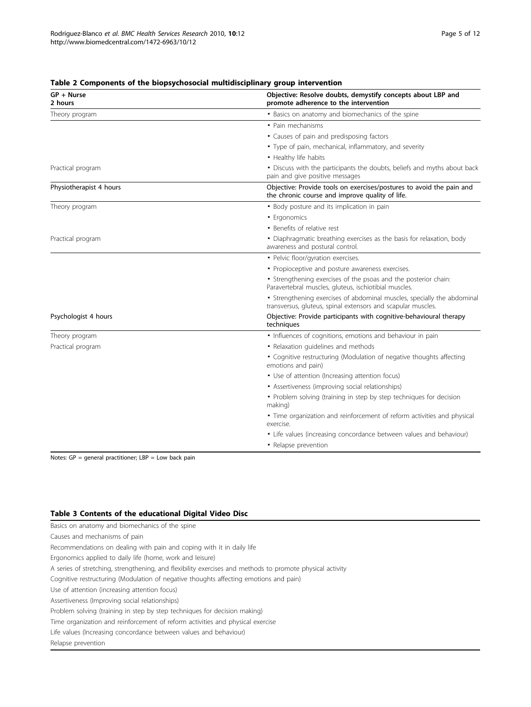#### <span id="page-4-0"></span>Table 2 Components of the biopsychosocial multidisciplinary group intervention

| $GP + Nurse$<br>2 hours | Objective: Resolve doubts, demystify concepts about LBP and<br>promote adherence to the intervention                                    |  |
|-------------------------|-----------------------------------------------------------------------------------------------------------------------------------------|--|
| Theory program          | • Basics on anatomy and biomechanics of the spine                                                                                       |  |
|                         | • Pain mechanisms                                                                                                                       |  |
|                         | • Causes of pain and predisposing factors                                                                                               |  |
|                         | • Type of pain, mechanical, inflammatory, and severity                                                                                  |  |
|                         | · Healthy life habits                                                                                                                   |  |
| Practical program       | • Discuss with the participants the doubts, beliefs and myths about back<br>pain and give positive messages                             |  |
| Physiotherapist 4 hours | Objective: Provide tools on exercises/postures to avoid the pain and<br>the chronic course and improve quality of life.                 |  |
| Theory program          | • Body posture and its implication in pain                                                                                              |  |
|                         | • Ergonomics                                                                                                                            |  |
|                         | • Benefits of relative rest                                                                                                             |  |
| Practical program       | • Diaphragmatic breathing exercises as the basis for relaxation, body<br>awareness and postural control.                                |  |
|                         | · Pelvic floor/gyration exercises.                                                                                                      |  |
|                         | · Propioceptive and posture awareness exercises.                                                                                        |  |
|                         | • Strengthening exercises of the psoas and the posterior chain:<br>Paravertebral muscles, gluteus, ischiotibial muscles.                |  |
|                         | • Strengthening exercises of abdominal muscles, specially the abdominal<br>transversus, gluteus, spinal extensors and scapular muscles. |  |
| Psychologist 4 hours    | Objective: Provide participants with cognitive-behavioural therapy<br>techniques                                                        |  |
| Theory program          | · Influences of cognitions, emotions and behaviour in pain                                                                              |  |
| Practical program       | • Relaxation guidelines and methods                                                                                                     |  |
|                         | • Cognitive restructuring (Modulation of negative thoughts affecting<br>emotions and pain)                                              |  |
|                         | • Use of attention (Increasing attention focus)                                                                                         |  |
|                         | • Assertiveness (improving social relationships)                                                                                        |  |
|                         | • Problem solving (training in step by step techniques for decision<br>making)                                                          |  |
|                         | • Time organization and reinforcement of reform activities and physical<br>exercise.                                                    |  |
|                         | • Life values (increasing concordance between values and behaviour)                                                                     |  |
|                         | • Relapse prevention                                                                                                                    |  |

Notes:  $GP =$  general practitioner;  $LBP = Low$  back pain

#### Table 3 Contents of the educational Digital Video Disc

Basics on anatomy and biomechanics of the spine Causes and mechanisms of pain Recommendations on dealing with pain and coping with it in daily life Ergonomics applied to daily life (home, work and leisure) A series of stretching, strengthening, and flexibility exercises and methods to promote physical activity Cognitive restructuring (Modulation of negative thoughts affecting emotions and pain) Use of attention (increasing attention focus) Assertiveness (Improving social relationships) Problem solving (training in step by step techniques for decision making) Time organization and reinforcement of reform activities and physical exercise Life values (Increasing concordance between values and behaviour) Relapse prevention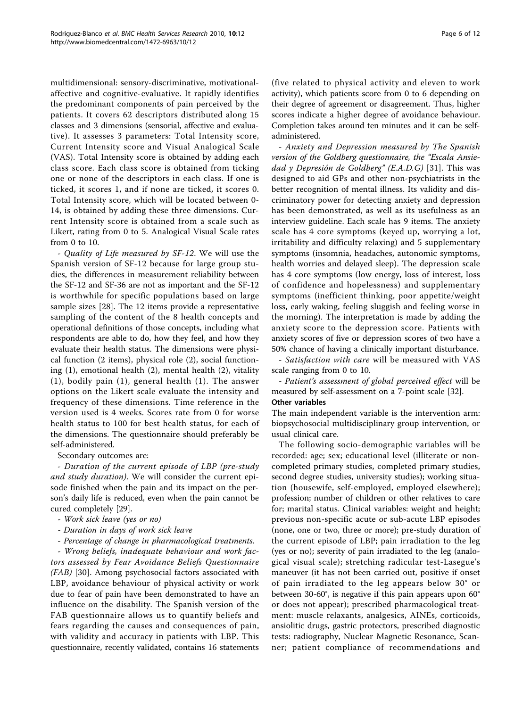multidimensional: sensory-discriminative, motivationalaffective and cognitive-evaluative. It rapidly identifies the predominant components of pain perceived by the patients. It covers 62 descriptors distributed along 15 classes and 3 dimensions (sensorial, affective and evaluative). It assesses 3 parameters: Total Intensity score, Current Intensity score and Visual Analogical Scale (VAS). Total Intensity score is obtained by adding each class score. Each class score is obtained from ticking one or none of the descriptors in each class. If one is ticked, it scores 1, and if none are ticked, it scores 0. Total Intensity score, which will be located between 0- 14, is obtained by adding these three dimensions. Current Intensity score is obtained from a scale such as Likert, rating from 0 to 5. Analogical Visual Scale rates from 0 to 10.

- Quality of Life measured by SF-12. We will use the Spanish version of SF-12 because for large group studies, the differences in measurement reliability between the SF-12 and SF-36 are not as important and the SF-12 is worthwhile for specific populations based on large sample sizes [\[28](#page-11-0)]. The 12 items provide a representative sampling of the content of the 8 health concepts and operational definitions of those concepts, including what respondents are able to do, how they feel, and how they evaluate their health status. The dimensions were physical function (2 items), physical role (2), social functioning (1), emotional health (2), mental health (2), vitality (1), bodily pain (1), general health (1). The answer options on the Likert scale evaluate the intensity and frequency of these dimensions. Time reference in the version used is 4 weeks. Scores rate from 0 for worse health status to 100 for best health status, for each of the dimensions. The questionnaire should preferably be self-administered.

# Secondary outcomes are:

- Duration of the current episode of LBP (pre-study and study duration). We will consider the current episode finished when the pain and its impact on the person's daily life is reduced, even when the pain cannot be cured completely [\[29](#page-11-0)].

- Work sick leave (yes or no)
- Duration in days of work sick leave
- Percentage of change in pharmacological treatments.

- Wrong beliefs, inadequate behaviour and work factors assessed by Fear Avoidance Beliefs Questionnaire (FAB) [\[30](#page-11-0)]. Among psychosocial factors associated with LBP, avoidance behaviour of physical activity or work due to fear of pain have been demonstrated to have an influence on the disability. The Spanish version of the FAB questionnaire allows us to quantify beliefs and fears regarding the causes and consequences of pain, with validity and accuracy in patients with LBP. This questionnaire, recently validated, contains 16 statements (five related to physical activity and eleven to work activity), which patients score from 0 to 6 depending on their degree of agreement or disagreement. Thus, higher scores indicate a higher degree of avoidance behaviour. Completion takes around ten minutes and it can be selfadministered.

- Anxiety and Depression measured by The Spanish version of the Goldberg questionnaire, the "Escala Ansiedad y Depresión de Goldberg"  $(E.A.D.G)$  [[31](#page-11-0)]. This was designed to aid GPs and other non-psychiatrists in the better recognition of mental illness. Its validity and discriminatory power for detecting anxiety and depression has been demonstrated, as well as its usefulness as an interview guideline. Each scale has 9 items. The anxiety scale has 4 core symptoms (keyed up, worrying a lot, irritability and difficulty relaxing) and 5 supplementary symptoms (insomnia, headaches, autonomic symptoms, health worries and delayed sleep). The depression scale has 4 core symptoms (low energy, loss of interest, loss of confidence and hopelessness) and supplementary symptoms (inefficient thinking, poor appetite/weight loss, early waking, feeling sluggish and feeling worse in the morning). The interpretation is made by adding the anxiety score to the depression score. Patients with anxiety scores of five or depression scores of two have a 50% chance of having a clinically important disturbance.

- Satisfaction with care will be measured with VAS scale ranging from 0 to 10.

- Patient's assessment of global perceived effect will be measured by self-assessment on a 7-point scale [\[32](#page-11-0)].

#### Other variables

The main independent variable is the intervention arm: biopsychosocial multidisciplinary group intervention, or usual clinical care.

The following socio-demographic variables will be recorded: age; sex; educational level (illiterate or noncompleted primary studies, completed primary studies, second degree studies, university studies); working situation (housewife, self-employed, employed elsewhere); profession; number of children or other relatives to care for; marital status. Clinical variables: weight and height; previous non-specific acute or sub-acute LBP episodes (none, one or two, three or more); pre-study duration of the current episode of LBP; pain irradiation to the leg (yes or no); severity of pain irradiated to the leg (analogical visual scale); stretching radicular test-Lasegue's maneuver (it has not been carried out, positive if onset of pain irradiated to the leg appears below 30° or between 30-60°, is negative if this pain appears upon 60° or does not appear); prescribed pharmacological treatment: muscle relaxants, analgesics, AINEs, corticoids, ansiolitic drugs, gastric protectors, prescribed diagnostic tests: radiography, Nuclear Magnetic Resonance, Scanner; patient compliance of recommendations and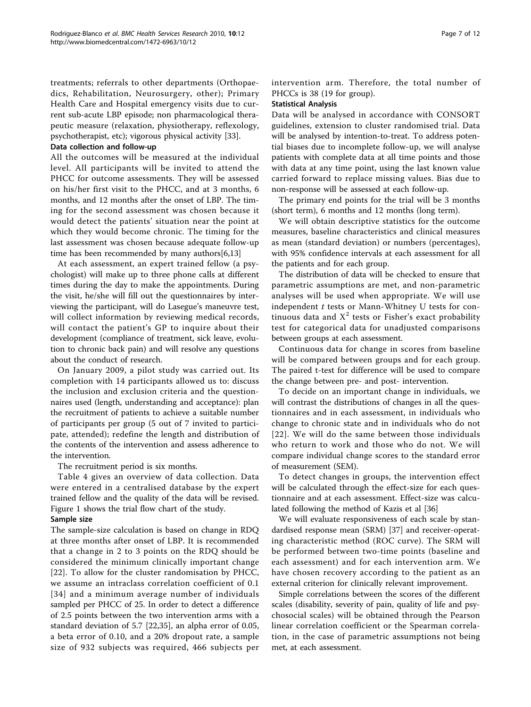treatments; referrals to other departments (Orthopaedics, Rehabilitation, Neurosurgery, other); Primary Health Care and Hospital emergency visits due to current sub-acute LBP episode; non pharmacological therapeutic measure (relaxation, physiotherapy, reflexology, psychotherapist, etc); vigorous physical activity [\[33\]](#page-11-0).

#### Data collection and follow-up

All the outcomes will be measured at the individual level. All participants will be invited to attend the PHCC for outcome assessments. They will be assessed on his/her first visit to the PHCC, and at 3 months, 6 months, and 12 months after the onset of LBP. The timing for the second assessment was chosen because it would detect the patients' situation near the point at which they would become chronic. The timing for the last assessment was chosen because adequate follow-up time has been recommended by many authors[[6,13\]](#page-10-0)

At each assessment, an expert trained fellow (a psychologist) will make up to three phone calls at different times during the day to make the appointments. During the visit, he/she will fill out the questionnaires by interviewing the participant, will do Lasegue's maneuvre test, will collect information by reviewing medical records, will contact the patient's GP to inquire about their development (compliance of treatment, sick leave, evolution to chronic back pain) and will resolve any questions about the conduct of research.

On January 2009, a pilot study was carried out. Its completion with 14 participants allowed us to: discuss the inclusion and exclusion criteria and the questionnaires used (length, understanding and acceptance): plan the recruitment of patients to achieve a suitable number of participants per group (5 out of 7 invited to participate, attended); redefine the length and distribution of the contents of the intervention and assess adherence to the intervention.

The recruitment period is six months.

Table [4](#page-8-0) gives an overview of data collection. Data were entered in a centralised database by the expert trained fellow and the quality of the data will be revised. Figure [1](#page-7-0) shows the trial flow chart of the study.

#### Sample size

The sample-size calculation is based on change in RDQ at three months after onset of LBP. It is recommended that a change in 2 to 3 points on the RDQ should be considered the minimum clinically important change [[22](#page-10-0)]. To allow for the cluster randomisation by PHCC, we assume an intraclass correlation coefficient of 0.1 [[34](#page-11-0)] and a minimum average number of individuals sampled per PHCC of 25. In order to detect a difference of 2.5 points between the two intervention arms with a standard deviation of 5.7 [[22](#page-10-0),[35\]](#page-11-0), an alpha error of 0.05, a beta error of 0.10, and a 20% dropout rate, a sample size of 932 subjects was required, 466 subjects per intervention arm. Therefore, the total number of PHCCs is 38 (19 for group).

# Statistical Analysis

Data will be analysed in accordance with CONSORT guidelines, extension to cluster randomised trial. Data will be analysed by intention-to-treat. To address potential biases due to incomplete follow-up, we will analyse patients with complete data at all time points and those with data at any time point, using the last known value carried forward to replace missing values. Bias due to non-response will be assessed at each follow-up.

The primary end points for the trial will be 3 months (short term), 6 months and 12 months (long term).

We will obtain descriptive statistics for the outcome measures, baseline characteristics and clinical measures as mean (standard deviation) or numbers (percentages), with 95% confidence intervals at each assessment for all the patients and for each group.

The distribution of data will be checked to ensure that parametric assumptions are met, and non-parametric analyses will be used when appropriate. We will use independent  $t$  tests or Mann-Whitney U tests for continuous data and  $X^2$  tests or Fisher's exact probability test for categorical data for unadjusted comparisons between groups at each assessment.

Continuous data for change in scores from baseline will be compared between groups and for each group. The paired t-test for difference will be used to compare the change between pre- and post- intervention.

To decide on an important change in individuals, we will contrast the distributions of changes in all the questionnaires and in each assessment, in individuals who change to chronic state and in individuals who do not [[22\]](#page-10-0). We will do the same between those individuals who return to work and those who do not. We will compare individual change scores to the standard error of measurement (SEM).

To detect changes in groups, the intervention effect will be calculated through the effect-size for each questionnaire and at each assessment. Effect-size was calculated following the method of Kazis et al [[36\]](#page-11-0)

We will evaluate responsiveness of each scale by standardised response mean (SRM) [\[37](#page-11-0)] and receiver-operating characteristic method (ROC curve). The SRM will be performed between two-time points (baseline and each assessment) and for each intervention arm. We have chosen recovery according to the patient as an external criterion for clinically relevant improvement.

Simple correlations between the scores of the different scales (disability, severity of pain, quality of life and psychosocial scales) will be obtained through the Pearson linear correlation coefficient or the Spearman correlation, in the case of parametric assumptions not being met, at each assessment.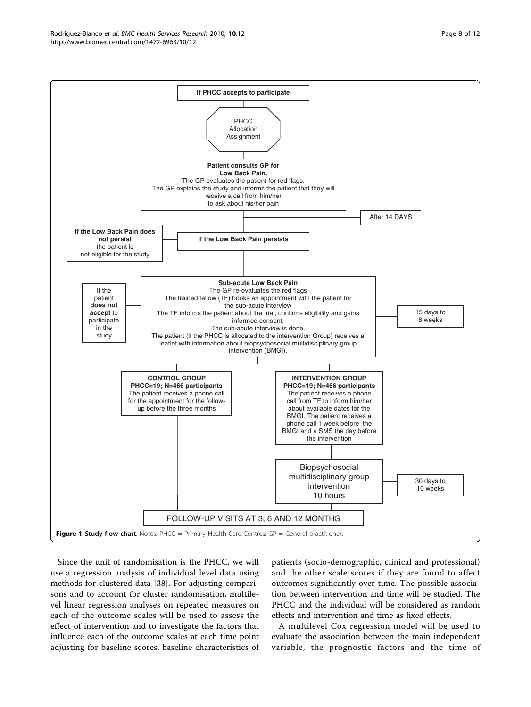<span id="page-7-0"></span>

Since the unit of randomisation is the PHCC, we will use a regression analysis of individual level data using methods for clustered data [[38\]](#page-11-0). For adjusting comparisons and to account for cluster randomisation, multilevel linear regression analyses on repeated measures on each of the outcome scales will be used to assess the effect of intervention and to investigate the factors that influence each of the outcome scales at each time point adjusting for baseline scores, baseline characteristics of

patients (socio-demographic, clinical and professional) and the other scale scores if they are found to affect outcomes significantly over time. The possible association between intervention and time will be studied. The PHCC and the individual will be considered as random effects and intervention and time as fixed effects.

A multilevel Cox regression model will be used to evaluate the association between the main independent variable, the prognostic factors and the time of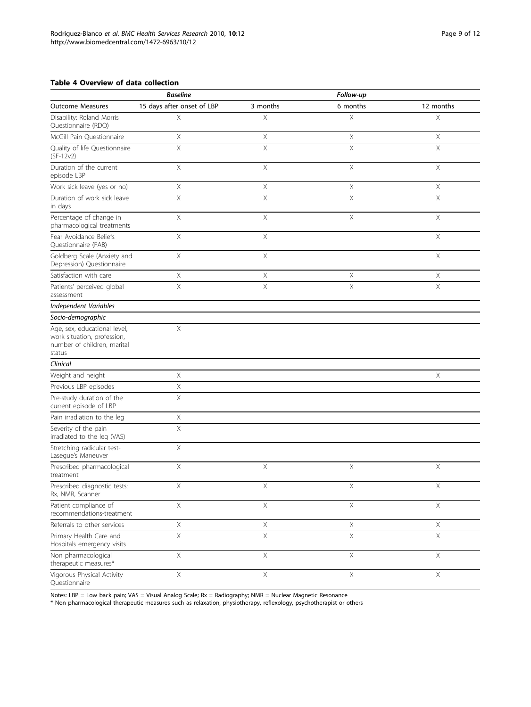# <span id="page-8-0"></span>Table 4 Overview of data collection

| <b>Baseline</b>                                                                                      |                            |             | Follow-up   |             |
|------------------------------------------------------------------------------------------------------|----------------------------|-------------|-------------|-------------|
| <b>Outcome Measures</b>                                                                              | 15 days after onset of LBP | 3 months    | 6 months    | 12 months   |
| Disability: Roland Morris<br>Questionnaire (RDQ)                                                     | X                          | X           | Χ           | X           |
| McGill Pain Questionnaire                                                                            | $\mathsf X$                | Χ           | Χ           | Χ           |
| Quality of life Questionnaire<br>$(SF-12v2)$                                                         | Χ                          | X           | $\times$    | Χ           |
| Duration of the current<br>episode LBP                                                               | Χ                          | X           | X           | X           |
| Work sick leave (yes or no)                                                                          | Χ                          | $\mathsf X$ | Χ           | $\mathsf X$ |
| Duration of work sick leave<br>in days                                                               | Χ                          | Χ           | Χ           | Χ           |
| Percentage of change in<br>pharmacological treatments                                                | Χ                          | X           | X           | X           |
| Fear Avoidance Beliefs<br>Questionnaire (FAB)                                                        | Χ                          | Χ           |             | Χ           |
| Goldberg Scale (Anxiety and<br>Depression) Questionnaire                                             | Χ                          | X           |             | X           |
| Satisfaction with care                                                                               | Χ                          | Χ           | Χ           | Χ           |
| Patients' perceived global<br>assessment                                                             | Χ                          | X           | X           | X           |
| Independent Variables                                                                                |                            |             |             |             |
| Socio-demographic                                                                                    |                            |             |             |             |
| Age, sex, educational level,<br>work situation, profession,<br>number of children, marital<br>status | Χ                          |             |             |             |
| Clinical                                                                                             |                            |             |             |             |
| Weight and height                                                                                    | Χ                          |             |             | Χ           |
| Previous LBP episodes                                                                                | Χ                          |             |             |             |
| Pre-study duration of the<br>current episode of LBP                                                  | Χ                          |             |             |             |
| Pain irradiation to the leg                                                                          | Χ                          |             |             |             |
| Severity of the pain<br>irradiated to the leg (VAS)                                                  | Χ                          |             |             |             |
| Stretching radicular test-<br>Lasegue's Maneuver                                                     | Χ                          |             |             |             |
| Prescribed pharmacological<br>treatment                                                              | Χ                          | Χ           | Χ           | Χ           |
| Prescribed diagnostic tests:<br>Rx, NMR, Scanner                                                     | Χ                          | X           | Χ           | X           |
| Patient compliance of<br>recommendations-treatment                                                   | $\times$                   | $\times$    | $\times$    | X.          |
| Referrals to other services                                                                          | $\mathsf X$                | X           | $\mathsf X$ | $\mathsf X$ |
| Primary Health Care and<br>Hospitals emergency visits                                                | $\mathsf X$                | $\times$    | $\mathsf X$ | $\times$    |
| Non pharmacological<br>therapeutic measures*                                                         | $\mathsf X$                | $\mathsf X$ | $\mathsf X$ | $\mathsf X$ |
| Vigorous Physical Activity<br>Questionnaire                                                          | $\bar{\mathsf{X}}$         | $\mathsf X$ | $\mathsf X$ | $\mathsf X$ |

Notes: LBP = Low back pain; VAS = Visual Analog Scale; Rx = Radiography; NMR = Nuclear Magnetic Resonance

\* Non pharmacological therapeutic measures such as relaxation, physiotherapy, reflexology, psychotherapist or others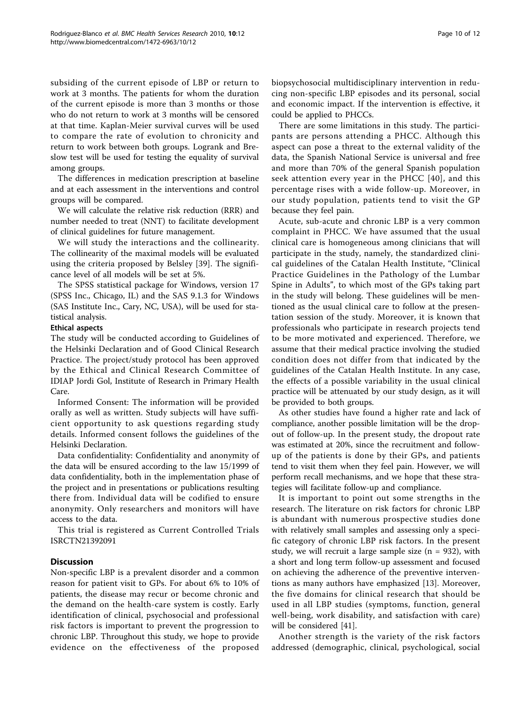subsiding of the current episode of LBP or return to work at 3 months. The patients for whom the duration of the current episode is more than 3 months or those who do not return to work at 3 months will be censored at that time. Kaplan-Meier survival curves will be used to compare the rate of evolution to chronicity and return to work between both groups. Logrank and Breslow test will be used for testing the equality of survival among groups.

The differences in medication prescription at baseline and at each assessment in the interventions and control groups will be compared.

We will calculate the relative risk reduction (RRR) and number needed to treat (NNT) to facilitate development of clinical guidelines for future management.

We will study the interactions and the collinearity. The collinearity of the maximal models will be evaluated using the criteria proposed by Belsley [[39\]](#page-11-0). The significance level of all models will be set at 5%.

The SPSS statistical package for Windows, version 17 (SPSS Inc., Chicago, IL) and the SAS 9.1.3 for Windows (SAS Institute Inc., Cary, NC, USA), will be used for statistical analysis.

#### Ethical aspects

The study will be conducted according to Guidelines of the Helsinki Declaration and of Good Clinical Research Practice. The project/study protocol has been approved by the Ethical and Clinical Research Committee of IDIAP Jordi Gol, Institute of Research in Primary Health Care.

Informed Consent: The information will be provided orally as well as written. Study subjects will have sufficient opportunity to ask questions regarding study details. Informed consent follows the guidelines of the Helsinki Declaration.

Data confidentiality: Confidentiality and anonymity of the data will be ensured according to the law 15/1999 of data confidentiality, both in the implementation phase of the project and in presentations or publications resulting there from. Individual data will be codified to ensure anonymity. Only researchers and monitors will have access to the data.

This trial is registered as Current Controlled Trials ISRCTN21392091

# **Discussion**

Non-specific LBP is a prevalent disorder and a common reason for patient visit to GPs. For about 6% to 10% of patients, the disease may recur or become chronic and the demand on the health-care system is costly. Early identification of clinical, psychosocial and professional risk factors is important to prevent the progression to chronic LBP. Throughout this study, we hope to provide evidence on the effectiveness of the proposed biopsychosocial multidisciplinary intervention in reducing non-specific LBP episodes and its personal, social and economic impact. If the intervention is effective, it could be applied to PHCCs.

There are some limitations in this study. The participants are persons attending a PHCC. Although this aspect can pose a threat to the external validity of the data, the Spanish National Service is universal and free and more than 70% of the general Spanish population seek attention every year in the PHCC [[40\]](#page-11-0), and this percentage rises with a wide follow-up. Moreover, in our study population, patients tend to visit the GP because they feel pain.

Acute, sub-acute and chronic LBP is a very common complaint in PHCC. We have assumed that the usual clinical care is homogeneous among clinicians that will participate in the study, namely, the standardized clinical guidelines of the Catalan Health Institute, "Clinical Practice Guidelines in the Pathology of the Lumbar Spine in Adults", to which most of the GPs taking part in the study will belong. These guidelines will be mentioned as the usual clinical care to follow at the presentation session of the study. Moreover, it is known that professionals who participate in research projects tend to be more motivated and experienced. Therefore, we assume that their medical practice involving the studied condition does not differ from that indicated by the guidelines of the Catalan Health Institute. In any case, the effects of a possible variability in the usual clinical practice will be attenuated by our study design, as it will be provided to both groups.

As other studies have found a higher rate and lack of compliance, another possible limitation will be the dropout of follow-up. In the present study, the dropout rate was estimated at 20%, since the recruitment and followup of the patients is done by their GPs, and patients tend to visit them when they feel pain. However, we will perform recall mechanisms, and we hope that these strategies will facilitate follow-up and compliance.

It is important to point out some strengths in the research. The literature on risk factors for chronic LBP is abundant with numerous prospective studies done with relatively small samples and assessing only a specific category of chronic LBP risk factors. In the present study, we will recruit a large sample size ( $n = 932$ ), with a short and long term follow-up assessment and focused on achieving the adherence of the preventive interventions as many authors have emphasized [\[13](#page-10-0)]. Moreover, the five domains for clinical research that should be used in all LBP studies (symptoms, function, general well-being, work disability, and satisfaction with care) will be considered [\[41](#page-11-0)].

Another strength is the variety of the risk factors addressed (demographic, clinical, psychological, social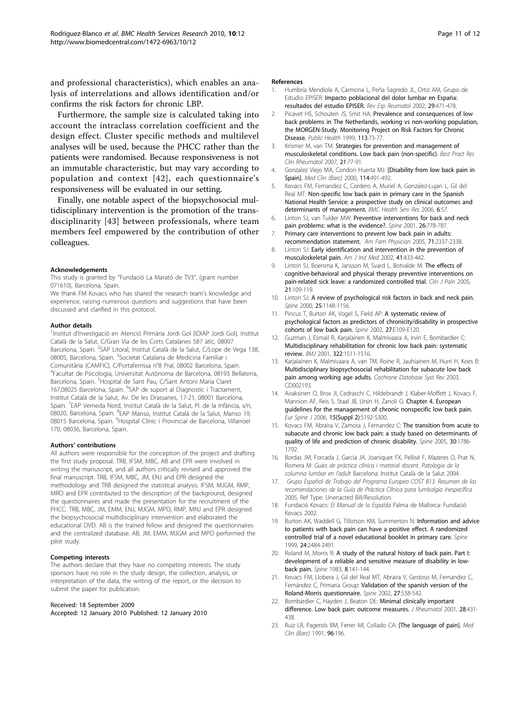<span id="page-10-0"></span>and professional characteristics), which enables an analysis of interrelations and allows identification and/or confirms the risk factors for chronic LBP.

Furthermore, the sample size is calculated taking into account the intraclass correlation coefficient and the design effect. Cluster specific methods and multilevel analyses will be used, because the PHCC rather than the patients were randomised. Because responsiveness is not an immutable characteristic, but may vary according to population and context [[42\]](#page-11-0), each questionnaire's responsiveness will be evaluated in our setting.

Finally, one notable aspect of the biopsychosocial multidisciplinary intervention is the promotion of the transdisciplinarity [\[43\]](#page-11-0) between professionals, where team members feel empowered by the contribution of other colleagues.

#### Acknowledgements

This study is granted by "Fundació La Marató de TV3", (grant number 071610), Barcelona, Spain.

We thank FM Kovacs who has shared the research team's knowledge and experience, raising numerous questions and suggestions that have been discussed and clarified in this protocol.

#### Author details

<sup>1</sup>Institut d'Investigació en Atenció Primària Jordi Gol (IDIAP Jordi Gol), Institut Català de la Salut, C/Gran Via de les Corts Catalanes 587 àtic, 08007 Barcelona, Spain. <sup>2</sup>SAP Litoral, Institut Català de la Salut, C/Lope de Vega 138, 08005, Barcelona, Spain. <sup>3</sup>Societat Catalana de Medicina Familiar i Comunitària (CAMFIC), C/Portaferrissa n°8 Pral, 08002 Barcelona, Spain. 4 Facultat de Psicologia, Universitat Autònoma de Barcelona, 08193 Bellaterra, Barcelona, Spain. <sup>5</sup>Hospital de Sant Pau, C/Sant Antoni Maria Claret 167,08025 Barcelona, Spain. <sup>6</sup>SAP de suport al Diagnostic i Tractament, Institut Català de la Salut, Av. De les Drassanes, 17-21, 08001 Barcelona, Spain. <sup>7</sup>EAP Verneda Nord, Institut Català de la Salut, Pl. de la Infància, s/n, o<br>8020, Barcelona, Spain. <sup>8</sup>EAP Manso, Institut Català de la Salut, Manso 19, 08015 Barcelona, Spain. <sup>9</sup>Hospital Clínic i Provincial de Barcelona, Villarroel 170, 08036, Barcelona, Spain.

#### Authors' contributions

All authors were responsible for the conception of the project and drafting the first study proposal. TRB, IFSM, MBC, AB and EPR were involved in writing the manuscript, and all authors critically revised and approved the final manuscript. TRB, IFSM, MBC, JM, ENJ and EPR designed the methodology and TRB designed the statistical analysis. IFSM, MJGM, RMP, MRO and EPR contributed to the description of the background, designed the questionnaires and made the presentation for the recruitment of the PHCC. TRB, MBC, JM, EMM, ENJ, MJGM, MPO, RMP, MNJ and EPR designed the biopsychosocial multidisciplinary intervention and elaborated the educational DVD. AB is the trained fellow and designed the questionnaires and the centralized database. AB, JM, EMM, MJGM and MPO performed the pilot study.

#### Competing interests

The authors declare that they have no competing interests. The study sponsors have no role in the study design, the collection, analysis, or interpretation of the data, the writing of the report, or the decision to submit the paper for publication.

#### Received: 18 September 2009

Accepted: 12 January 2010 Published: 12 January 2010

#### References

- 1. Humbría Mendiola A, Carmona L, Peña Sagredo JL, Ortiz AM, Grupo de Estudio EPISER: Impacto poblacional del dolor lumbar en España: resultados del estudio EPISER. Rev Esp Reumatol 2002, 29:471-478.
- 2. Picavet HS, Schouten JS, Smit HA: Prevalence and consequences of low back problems in The Netherlands, working vs non-working population, the MORGEN-Study. Monitoring Project on Risk Factors for Chronic Disease. Public Health 1999, 113:73-77.
- 3. Krismer M, van TM: Strategies for prevention and management of musculoskeletal conditions. Low back pain (non-specific). Best Pract Res Clin Rheumatol 2007, 21:77-91.
- 4. Gonzalez Viejo MA, Condon Huerta MJ: [Disability from low back pain in Spain]. Med Clin (Barc) 2000, 114:491-492.
- 5. Kovacs FM, Fernandez C, Cordero A, Muriel A, Gonzalez-Lujan L, Gil del Real MT: Non-specific low back pain in primary care in the Spanish National Health Service: a prospective study on clinical outcomes and determinants of management. BMC Health Serv Res 2006, 6:57.
- 6. Linton SJ, van Tulder MW: Preventive interventions for back and neck pain problems: what is the evidence?. Spine 2001, 26:778-787
- 7. Primary care interventions to prevent low back pain in adults: recommendation statement. Am Fam Physician 2005, 71:2337-2338.
- 8. Linton SJ: Early identification and intervention in the prevention of musculoskeletal pain. Am J Ind Med 2002, 41:433-442.
- 9. Linton SJ, Boersma K, Jansson M, Svard L, Botvalde M: The effects of cognitive-behavioral and physical therapy preventive interventions on pain-related sick leave: a randomized controlled trial. Clin J Pain 2005, 21:109-119.
- 10. Linton SJ: A review of psychological risk factors in back and neck pain. Spine 2000, 25:1148-1156.
- 11. Pincus T, Burton AK, Vogel S, Field AP: A systematic review of psychological factors as predictors of chronicity/disability in prospective cohorts of low back pain. Spine 2002, 27:E109-E120.
- 12. Guzman J, Esmail R, Karjalainen K, Malmivaara A, Irvin E, Bombardier C: Multidisciplinary rehabilitation for chronic low back pain: systematic review. BMJ 2001, 322:1511-1516.
- 13. Karjalainen K, Malmivaara A, van TM, Roine R, Jauhiainen M, Hurri H, Koes B: Multidisciplinary biopsychosocial rehabilitation for subacute low back pain among working age adults. Cochrane Database Syst Rev 2003, CD002193.
- 14. Airaksinen O, Brox JI, Cedraschi C, Hildebrandt J, Klaber-Moffett J, Kovacs F, Mannion AF, Reis S, Staal JB, Ursin H, Zanoli G: Chapter 4. European guidelines for the management of chronic nonspecific low back pain. Eur Spine J 2006, 15(Suppl 2):S192-S300.
- 15. Kovacs FM, Abraira V, Zamora J, Fernandez C: The transition from acute to subacute and chronic low back pain: a study based on determinants of quality of life and prediction of chronic disability. Spine 2005, 30:1786- 1792.
- 16. Bordas JM, Forcada J, García JA, Joaniquet FX, Pellisé F, Mazeres O, Prat N, Romera M: Guies de pràctica clínica i material docent. Patologia de la columna lumbar en l'adult Barcelona: Institut Català de la Salut 2004.
- 17. Grupo Español de Trabajo del Programa Europeo COST B13. Resumen de las recomendaciones de la Guía de Práctica Clínica para lumbalgia inespecífica 2005, Ref Type: Unenacted Bill/Resolution.
- 18. Fundació Kovacs: El Manual de la Espalda Palma de Mallorca: Fundació Kovacs 2002.
- 19. Burton AK, Waddell G, Tillotson KM, Summerton N: Information and advice to patients with back pain can have a positive effect. A randomized controlled trial of a novel educational booklet in primary care. Spine 1999, 24:2484-2491.
- 20. Roland M, Morris R: A study of the natural history of back pain. Part I: development of a reliable and sensitive measure of disability in lowback pain. Spine 1983, 8:141-144.
- 21. Kovacs FM, Llobera J, Gil del Real MT, Abraira V, Gestoso M, Fernandez C, Fernández C, Primaria Group: Validation of the spanish version of the Roland-Morris questionnaire. Spine 2002, 27:538-542.
- 22. Bombardier C, Hayden J, Beaton DE: Minimal clinically important difference. Low back pain: outcome measures. J Rheumatol 2001, 28:431-438.
- 23. Ruiz LR, Pagerols BM, Ferrer MI, Collado CA: [The language of pain]. Med Clin (Barc) 1991, 96:196.